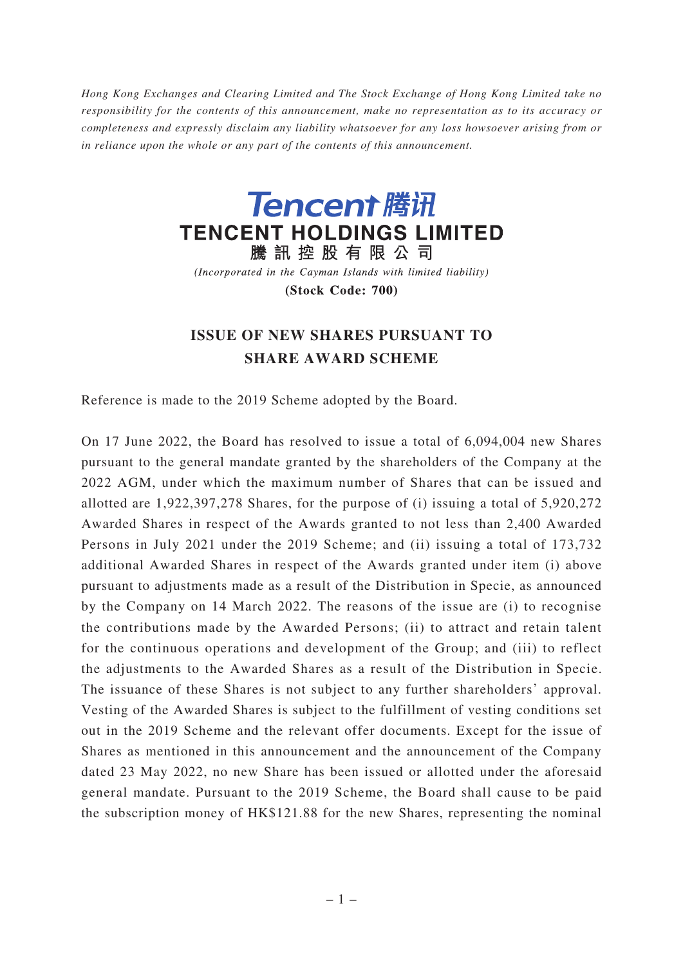*Hong Kong Exchanges and Clearing Limited and The Stock Exchange of Hong Kong Limited take no responsibility for the contents of this announcement, make no representation as to its accuracy or completeness and expressly disclaim any liability whatsoever for any loss howsoever arising from or in reliance upon the whole or any part of the contents of this announcement.*



(Incorporated in the Cayman Islands with limited liability) (Stock Code: 700)

## **ISSUE OF NEW SHARES PURSUANT TO SHARE AWARD SCHEME**

Reference is made to the 2019 Scheme adopted by the Board.

On 17 June 2022, the Board has resolved to issue a total of 6,094,004 new Shares pursuant to the general mandate granted by the shareholders of the Company at the 2022 AGM, under which the maximum number of Shares that can be issued and allotted are 1,922,397,278 Shares, for the purpose of (i) issuing a total of 5,920,272 Awarded Shares in respect of the Awards granted to not less than 2,400 Awarded Persons in July 2021 under the 2019 Scheme; and (ii) issuing a total of 173,732 additional Awarded Shares in respect of the Awards granted under item (i) above pursuant to adjustments made as a result of the Distribution in Specie, as announced by the Company on 14 March 2022. The reasons of the issue are (i) to recognise the contributions made by the Awarded Persons; (ii) to attract and retain talent for the continuous operations and development of the Group; and (iii) to reflect the adjustments to the Awarded Shares as a result of the Distribution in Specie. The issuance of these Shares is not subject to any further shareholders' approval. Vesting of the Awarded Shares is subject to the fulfillment of vesting conditions set out in the 2019 Scheme and the relevant offer documents. Except for the issue of Shares as mentioned in this announcement and the announcement of the Company dated 23 May 2022, no new Share has been issued or allotted under the aforesaid general mandate. Pursuant to the 2019 Scheme, the Board shall cause to be paid the subscription money of HK\$121.88 for the new Shares, representing the nominal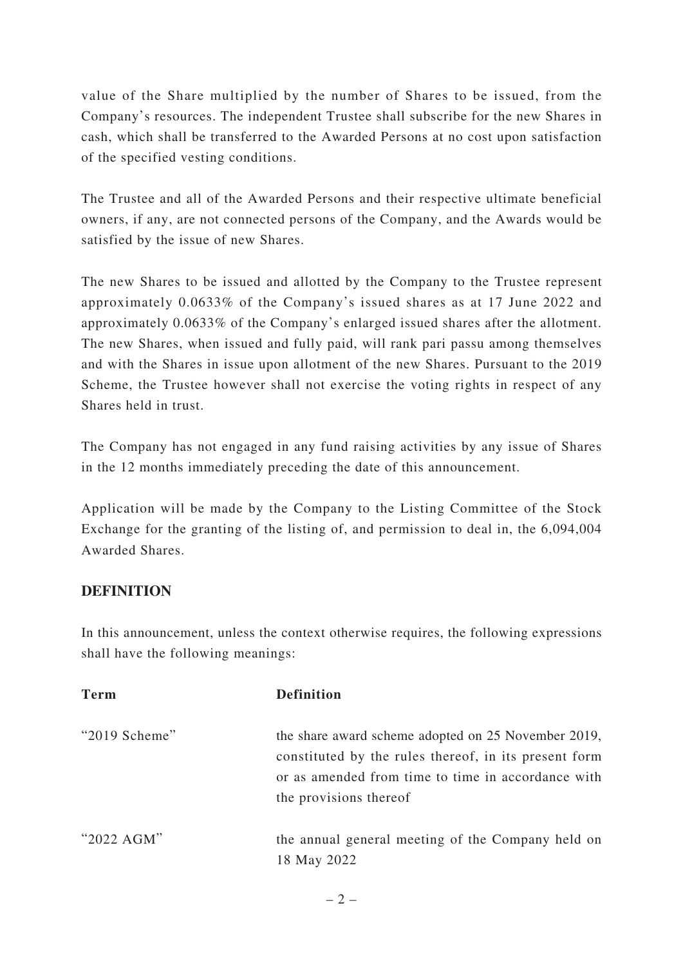value of the Share multiplied by the number of Shares to be issued, from the Company's resources. The independent Trustee shall subscribe for the new Shares in cash, which shall be transferred to the Awarded Persons at no cost upon satisfaction of the specified vesting conditions.

The Trustee and all of the Awarded Persons and their respective ultimate beneficial owners, if any, are not connected persons of the Company, and the Awards would be satisfied by the issue of new Shares.

The new Shares to be issued and allotted by the Company to the Trustee represent approximately 0.0633% of the Company's issued shares as at 17 June 2022 and approximately 0.0633% of the Company's enlarged issued shares after the allotment. The new Shares, when issued and fully paid, will rank pari passu among themselves and with the Shares in issue upon allotment of the new Shares. Pursuant to the 2019 Scheme, the Trustee however shall not exercise the voting rights in respect of any Shares held in trust.

The Company has not engaged in any fund raising activities by any issue of Shares in the 12 months immediately preceding the date of this announcement.

Application will be made by the Company to the Listing Committee of the Stock Exchange for the granting of the listing of, and permission to deal in, the 6,094,004 Awarded Shares.

## **DEFINITION**

In this announcement, unless the context otherwise requires, the following expressions shall have the following meanings:

| <b>Term</b>      | <b>Definition</b>                                                                                                                                                                            |
|------------------|----------------------------------------------------------------------------------------------------------------------------------------------------------------------------------------------|
| " $2019$ Scheme" | the share award scheme adopted on 25 November 2019,<br>constituted by the rules thereof, in its present form<br>or as amended from time to time in accordance with<br>the provisions thereof |
| " $2022$ AGM"    | the annual general meeting of the Company held on<br>18 May 2022                                                                                                                             |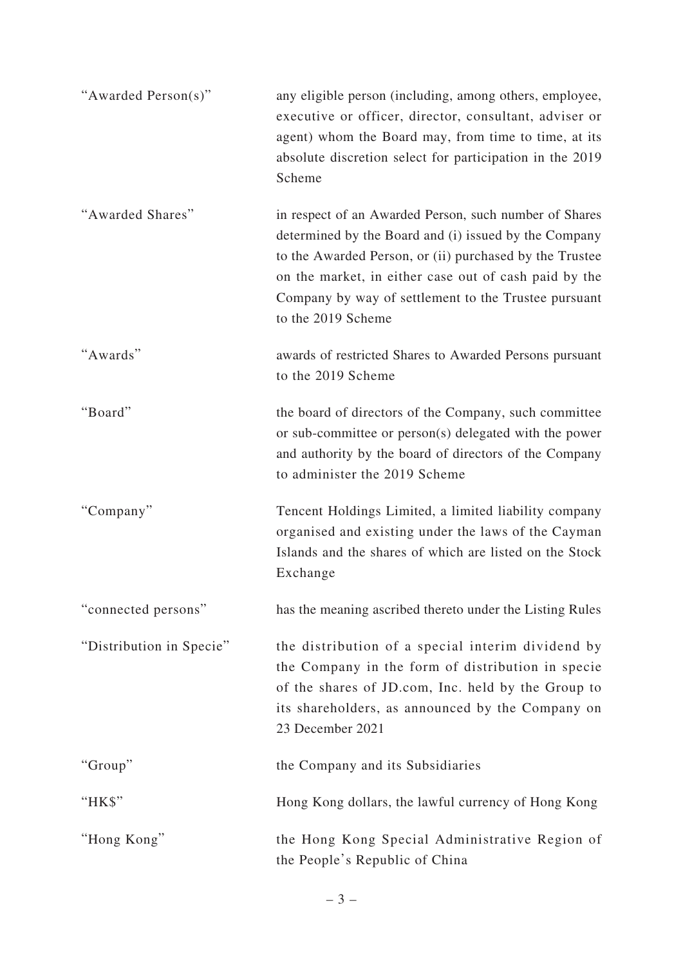| "Awarded Person(s)"      | any eligible person (including, among others, employee,<br>executive or officer, director, consultant, adviser or<br>agent) whom the Board may, from time to time, at its<br>absolute discretion select for participation in the 2019<br>Scheme                                                                   |
|--------------------------|-------------------------------------------------------------------------------------------------------------------------------------------------------------------------------------------------------------------------------------------------------------------------------------------------------------------|
| "Awarded Shares"         | in respect of an Awarded Person, such number of Shares<br>determined by the Board and (i) issued by the Company<br>to the Awarded Person, or (ii) purchased by the Trustee<br>on the market, in either case out of cash paid by the<br>Company by way of settlement to the Trustee pursuant<br>to the 2019 Scheme |
| "Awards"                 | awards of restricted Shares to Awarded Persons pursuant<br>to the 2019 Scheme                                                                                                                                                                                                                                     |
| "Board"                  | the board of directors of the Company, such committee<br>or sub-committee or person(s) delegated with the power<br>and authority by the board of directors of the Company<br>to administer the 2019 Scheme                                                                                                        |
| "Company"                | Tencent Holdings Limited, a limited liability company<br>organised and existing under the laws of the Cayman<br>Islands and the shares of which are listed on the Stock<br>Exchange                                                                                                                               |
| "connected persons"      | has the meaning ascribed thereto under the Listing Rules                                                                                                                                                                                                                                                          |
| "Distribution in Specie" | the distribution of a special interim dividend by<br>the Company in the form of distribution in specie<br>of the shares of JD.com, Inc. held by the Group to<br>its shareholders, as announced by the Company on<br>23 December 2021                                                                              |
| "Group"                  | the Company and its Subsidiaries                                                                                                                                                                                                                                                                                  |
| "HK\$"                   | Hong Kong dollars, the lawful currency of Hong Kong                                                                                                                                                                                                                                                               |
| "Hong Kong"              | the Hong Kong Special Administrative Region of<br>the People's Republic of China                                                                                                                                                                                                                                  |